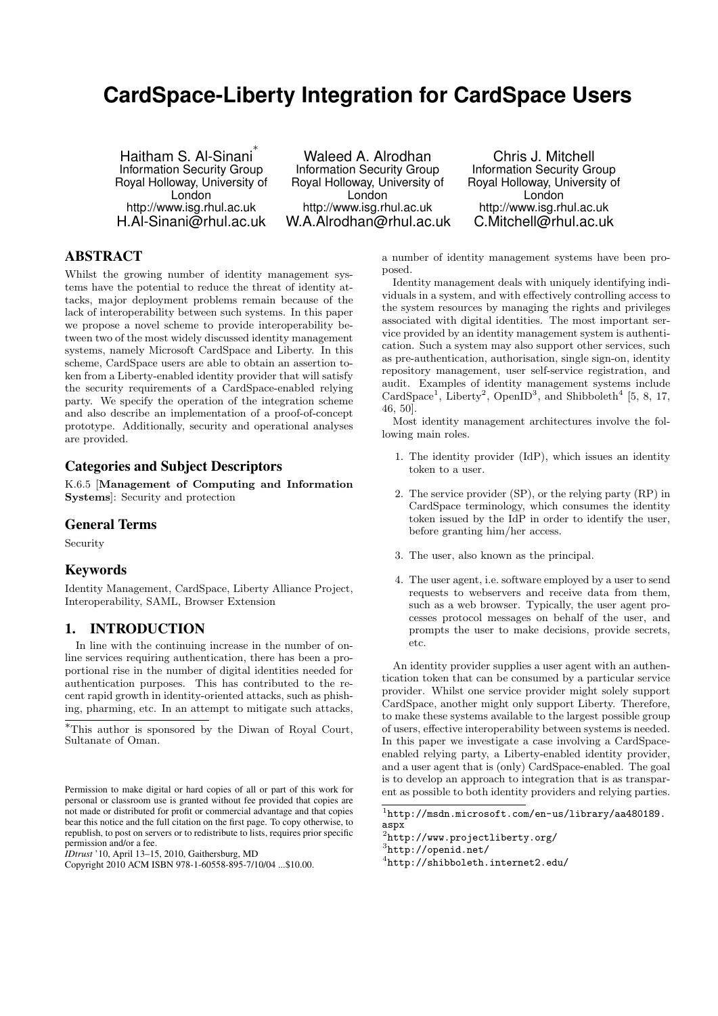# **CardSpace-Liberty Integration for CardSpace Users**

Haitham S. Al-Sinani<sup>\*</sup> Information Security Group Royal Holloway, University of London http://www.isg.rhul.ac.uk H.Al-Sinani@rhul.ac.uk

Waleed A. Alrodhan Information Security Group Royal Holloway, University of London http://www.isg.rhul.ac.uk W.A.Alrodhan@rhul.ac.uk

Chris J. Mitchell Information Security Group Royal Holloway, University of London http://www.isg.rhul.ac.uk C.Mitchell@rhul.ac.uk

# ABSTRACT

Whilst the growing number of identity management systems have the potential to reduce the threat of identity attacks, major deployment problems remain because of the lack of interoperability between such systems. In this paper we propose a novel scheme to provide interoperability between two of the most widely discussed identity management systems, namely Microsoft CardSpace and Liberty. In this scheme, CardSpace users are able to obtain an assertion token from a Liberty-enabled identity provider that will satisfy the security requirements of a CardSpace-enabled relying party. We specify the operation of the integration scheme and also describe an implementation of a proof-of-concept prototype. Additionally, security and operational analyses are provided.

# Categories and Subject Descriptors

K.6.5 [Management of Computing and Information Systems]: Security and protection

# General Terms

Security

## Keywords

Identity Management, CardSpace, Liberty Alliance Project, Interoperability, SAML, Browser Extension

# 1. INTRODUCTION

In line with the continuing increase in the number of online services requiring authentication, there has been a proportional rise in the number of digital identities needed for authentication purposes. This has contributed to the recent rapid growth in identity-oriented attacks, such as phishing, pharming, etc. In an attempt to mitigate such attacks,

*IDtrust* '10, April 13–15, 2010, Gaithersburg, MD

a number of identity management systems have been proposed.

Identity management deals with uniquely identifying individuals in a system, and with effectively controlling access to the system resources by managing the rights and privileges associated with digital identities. The most important service provided by an identity management system is authentication. Such a system may also support other services, such as pre-authentication, authorisation, single sign-on, identity repository management, user self-service registration, and audit. Examples of identity management systems include CardSpace<sup>1</sup>, Liberty<sup>2</sup>, OpenID<sup>3</sup>, and Shibboleth<sup>4</sup> [5, 8, 17, 46, 50].

Most identity management architectures involve the following main roles.

- 1. The identity provider (IdP), which issues an identity token to a user.
- 2. The service provider (SP), or the relying party (RP) in CardSpace terminology, which consumes the identity token issued by the IdP in order to identify the user, before granting him/her access.
- 3. The user, also known as the principal.
- 4. The user agent, i.e. software employed by a user to send requests to webservers and receive data from them, such as a web browser. Typically, the user agent processes protocol messages on behalf of the user, and prompts the user to make decisions, provide secrets, etc.

An identity provider supplies a user agent with an authentication token that can be consumed by a particular service provider. Whilst one service provider might solely support CardSpace, another might only support Liberty. Therefore, to make these systems available to the largest possible group of users, effective interoperability between systems is needed. In this paper we investigate a case involving a CardSpaceenabled relying party, a Liberty-enabled identity provider, and a user agent that is (only) CardSpace-enabled. The goal is to develop an approach to integration that is as transparent as possible to both identity providers and relying parties.

1 http://msdn.microsoft.com/en-us/library/aa480189. aspx

<sup>∗</sup>This author is sponsored by the Diwan of Royal Court, Sultanate of Oman.

Permission to make digital or hard copies of all or part of this work for personal or classroom use is granted without fee provided that copies are not made or distributed for profit or commercial advantage and that copies bear this notice and the full citation on the first page. To copy otherwise, to republish, to post on servers or to redistribute to lists, requires prior specific permission and/or a fee.

Copyright 2010 ACM ISBN 978-1-60558-895-7/10/04 ...\$10.00.

<sup>2</sup> http://www.projectliberty.org/

<sup>3</sup> http://openid.net/

<sup>4</sup> http://shibboleth.internet2.edu/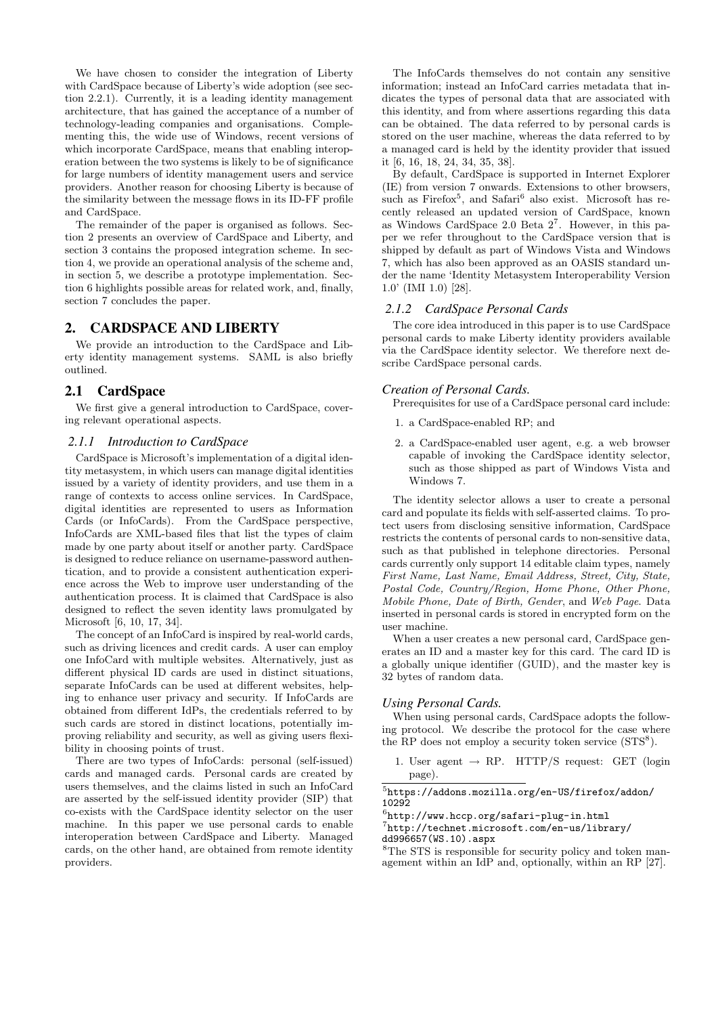We have chosen to consider the integration of Liberty with CardSpace because of Liberty's wide adoption (see section 2.2.1). Currently, it is a leading identity management architecture, that has gained the acceptance of a number of technology-leading companies and organisations. Complementing this, the wide use of Windows, recent versions of which incorporate CardSpace, means that enabling interoperation between the two systems is likely to be of significance for large numbers of identity management users and service providers. Another reason for choosing Liberty is because of the similarity between the message flows in its ID-FF profile and CardSpace.

The remainder of the paper is organised as follows. Section 2 presents an overview of CardSpace and Liberty, and section 3 contains the proposed integration scheme. In section 4, we provide an operational analysis of the scheme and, in section 5, we describe a prototype implementation. Section 6 highlights possible areas for related work, and, finally, section 7 concludes the paper.

# 2. CARDSPACE AND LIBERTY

We provide an introduction to the CardSpace and Liberty identity management systems. SAML is also briefly outlined.

# 2.1 CardSpace

We first give a general introduction to CardSpace, covering relevant operational aspects.

## *2.1.1 Introduction to CardSpace*

CardSpace is Microsoft's implementation of a digital identity metasystem, in which users can manage digital identities issued by a variety of identity providers, and use them in a range of contexts to access online services. In CardSpace, digital identities are represented to users as Information Cards (or InfoCards). From the CardSpace perspective, InfoCards are XML-based files that list the types of claim made by one party about itself or another party. CardSpace is designed to reduce reliance on username-password authentication, and to provide a consistent authentication experience across the Web to improve user understanding of the authentication process. It is claimed that CardSpace is also designed to reflect the seven identity laws promulgated by Microsoft [6, 10, 17, 34].

The concept of an InfoCard is inspired by real-world cards, such as driving licences and credit cards. A user can employ one InfoCard with multiple websites. Alternatively, just as different physical ID cards are used in distinct situations, separate InfoCards can be used at different websites, helping to enhance user privacy and security. If InfoCards are obtained from different IdPs, the credentials referred to by such cards are stored in distinct locations, potentially improving reliability and security, as well as giving users flexibility in choosing points of trust.

There are two types of InfoCards: personal (self-issued) cards and managed cards. Personal cards are created by users themselves, and the claims listed in such an InfoCard are asserted by the self-issued identity provider (SIP) that co-exists with the CardSpace identity selector on the user machine. In this paper we use personal cards to enable interoperation between CardSpace and Liberty. Managed cards, on the other hand, are obtained from remote identity providers.

The InfoCards themselves do not contain any sensitive information; instead an InfoCard carries metadata that indicates the types of personal data that are associated with this identity, and from where assertions regarding this data can be obtained. The data referred to by personal cards is stored on the user machine, whereas the data referred to by a managed card is held by the identity provider that issued it [6, 16, 18, 24, 34, 35, 38].

By default, CardSpace is supported in Internet Explorer (IE) from version 7 onwards. Extensions to other browsers, such as Firefox<sup>5</sup>, and Safari<sup>6</sup> also exist. Microsoft has recently released an updated version of CardSpace, known as Windows CardSpace 2.0 Beta  $2^7$ . However, in this paper we refer throughout to the CardSpace version that is shipped by default as part of Windows Vista and Windows 7, which has also been approved as an OASIS standard under the name 'Identity Metasystem Interoperability Version 1.0' (IMI 1.0) [28].

# *2.1.2 CardSpace Personal Cards*

The core idea introduced in this paper is to use CardSpace personal cards to make Liberty identity providers available via the CardSpace identity selector. We therefore next describe CardSpace personal cards.

## *Creation of Personal Cards.*

Prerequisites for use of a CardSpace personal card include:

- 1. a CardSpace-enabled RP; and
- 2. a CardSpace-enabled user agent, e.g. a web browser capable of invoking the CardSpace identity selector, such as those shipped as part of Windows Vista and Windows 7.

The identity selector allows a user to create a personal card and populate its fields with self-asserted claims. To protect users from disclosing sensitive information, CardSpace restricts the contents of personal cards to non-sensitive data, such as that published in telephone directories. Personal cards currently only support 14 editable claim types, namely First Name, Last Name, Email Address, Street, City, State, Postal Code, Country/Region, Home Phone, Other Phone, Mobile Phone, Date of Birth, Gender, and Web Page. Data inserted in personal cards is stored in encrypted form on the user machine.

When a user creates a new personal card, CardSpace generates an ID and a master key for this card. The card ID is a globally unique identifier (GUID), and the master key is 32 bytes of random data.

#### *Using Personal Cards.*

When using personal cards, CardSpace adopts the following protocol. We describe the protocol for the case where the RP does not employ a security token service  $(STS<sup>8</sup>)$ .

1. User agent  $\rightarrow$  RP. HTTP/S request: GET (login page).

5 https://addons.mozilla.org/en-US/firefox/addon/ 10292

 $^6$ http://www.hccp.org/safari-plug-in.html 7 http://technet.microsoft.com/en-us/library/ dd996657(WS.10).aspx

<sup>8</sup>The STS is responsible for security policy and token management within an IdP and, optionally, within an RP [27].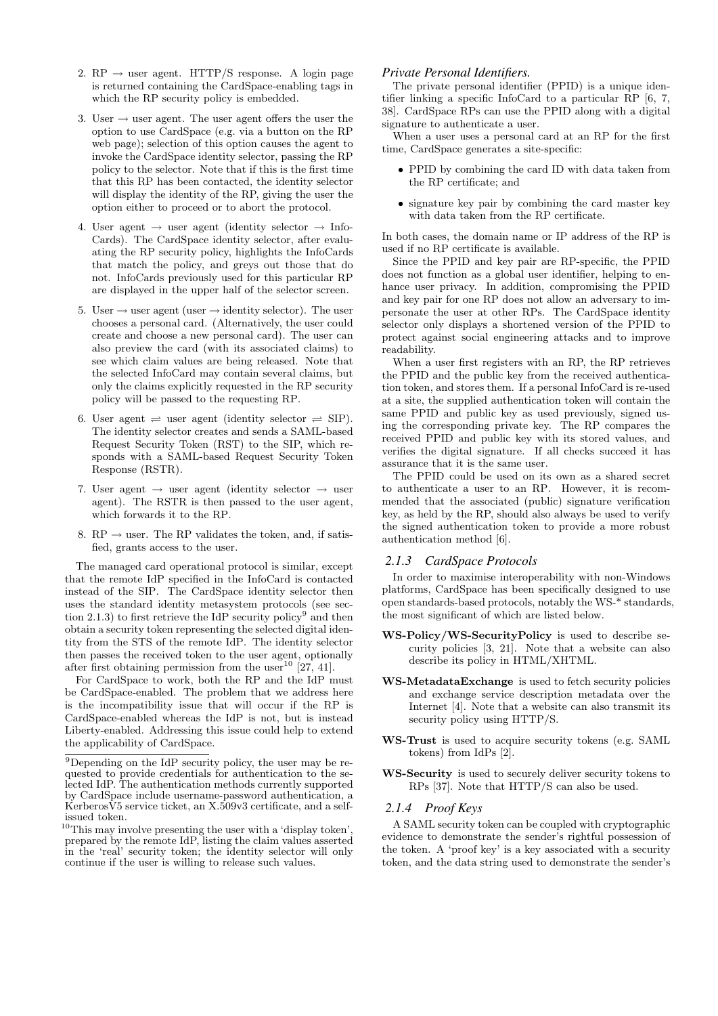- 2. RP  $\rightarrow$  user agent. HTTP/S response. A login page is returned containing the CardSpace-enabling tags in which the RP security policy is embedded.
- 3. User  $\rightarrow$  user agent. The user agent offers the user the option to use CardSpace (e.g. via a button on the RP web page); selection of this option causes the agent to invoke the CardSpace identity selector, passing the RP policy to the selector. Note that if this is the first time that this RP has been contacted, the identity selector will display the identity of the RP, giving the user the option either to proceed or to abort the protocol.
- 4. User agent  $\rightarrow$  user agent (identity selector  $\rightarrow$  Info-Cards). The CardSpace identity selector, after evaluating the RP security policy, highlights the InfoCards that match the policy, and greys out those that do not. InfoCards previously used for this particular RP are displayed in the upper half of the selector screen.
- 5. User  $\rightarrow$  user agent (user  $\rightarrow$  identity selector). The user chooses a personal card. (Alternatively, the user could create and choose a new personal card). The user can also preview the card (with its associated claims) to see which claim values are being released. Note that the selected InfoCard may contain several claims, but only the claims explicitly requested in the RP security policy will be passed to the requesting RP.
- 6. User agent  $\rightleftharpoons$  user agent (identity selector  $\rightleftharpoons$  SIP). The identity selector creates and sends a SAML-based Request Security Token (RST) to the SIP, which responds with a SAML-based Request Security Token Response (RSTR).
- 7. User agent  $\rightarrow$  user agent (identity selector  $\rightarrow$  user agent). The RSTR is then passed to the user agent, which forwards it to the RP.
- 8. RP  $\rightarrow$  user. The RP validates the token, and, if satisfied, grants access to the user.

The managed card operational protocol is similar, except that the remote IdP specified in the InfoCard is contacted instead of the SIP. The CardSpace identity selector then uses the standard identity metasystem protocols (see section 2.1.3) to first retrieve the IdP security policy<sup>9</sup> and then obtain a security token representing the selected digital identity from the STS of the remote IdP. The identity selector then passes the received token to the user agent, optionally after first obtaining permission from the user $^{10}$  [27, 41].

For CardSpace to work, both the RP and the IdP must be CardSpace-enabled. The problem that we address here is the incompatibility issue that will occur if the RP is CardSpace-enabled whereas the IdP is not, but is instead Liberty-enabled. Addressing this issue could help to extend the applicability of CardSpace.

#### *Private Personal Identifiers.*

The private personal identifier (PPID) is a unique identifier linking a specific InfoCard to a particular RP [6, 7, 38]. CardSpace RPs can use the PPID along with a digital signature to authenticate a user.

When a user uses a personal card at an RP for the first time, CardSpace generates a site-specific:

- PPID by combining the card ID with data taken from the RP certificate; and
- signature key pair by combining the card master key with data taken from the RP certificate.

In both cases, the domain name or IP address of the RP is used if no RP certificate is available.

Since the PPID and key pair are RP-specific, the PPID does not function as a global user identifier, helping to enhance user privacy. In addition, compromising the PPID and key pair for one RP does not allow an adversary to impersonate the user at other RPs. The CardSpace identity selector only displays a shortened version of the PPID to protect against social engineering attacks and to improve readability.

When a user first registers with an RP, the RP retrieves the PPID and the public key from the received authentication token, and stores them. If a personal InfoCard is re-used at a site, the supplied authentication token will contain the same PPID and public key as used previously, signed using the corresponding private key. The RP compares the received PPID and public key with its stored values, and verifies the digital signature. If all checks succeed it has assurance that it is the same user.

The PPID could be used on its own as a shared secret to authenticate a user to an RP. However, it is recommended that the associated (public) signature verification key, as held by the RP, should also always be used to verify the signed authentication token to provide a more robust authentication method [6].

#### *2.1.3 CardSpace Protocols*

In order to maximise interoperability with non-Windows platforms, CardSpace has been specifically designed to use open standards-based protocols, notably the WS-\* standards, the most significant of which are listed below.

- WS-Policy/WS-SecurityPolicy is used to describe security policies [3, 21]. Note that a website can also describe its policy in HTML/XHTML.
- WS-MetadataExchange is used to fetch security policies and exchange service description metadata over the Internet [4]. Note that a website can also transmit its security policy using HTTP/S.
- WS-Trust is used to acquire security tokens (e.g. SAML tokens) from IdPs [2].
- WS-Security is used to securely deliver security tokens to RPs [37]. Note that HTTP/S can also be used.

#### *2.1.4 Proof Keys*

A SAML security token can be coupled with cryptographic evidence to demonstrate the sender's rightful possession of the token. A 'proof key' is a key associated with a security token, and the data string used to demonstrate the sender's

<sup>9</sup>Depending on the IdP security policy, the user may be requested to provide credentials for authentication to the selected IdP. The authentication methods currently supported by CardSpace include username-password authentication, a Kerberos $\tilde{V}5$  service ticket, an X.509v3 certificate, and a selfissued token.

 $10$ This may involve presenting the user with a 'display token', prepared by the remote IdP, listing the claim values asserted in the 'real' security token; the identity selector will only continue if the user is willing to release such values.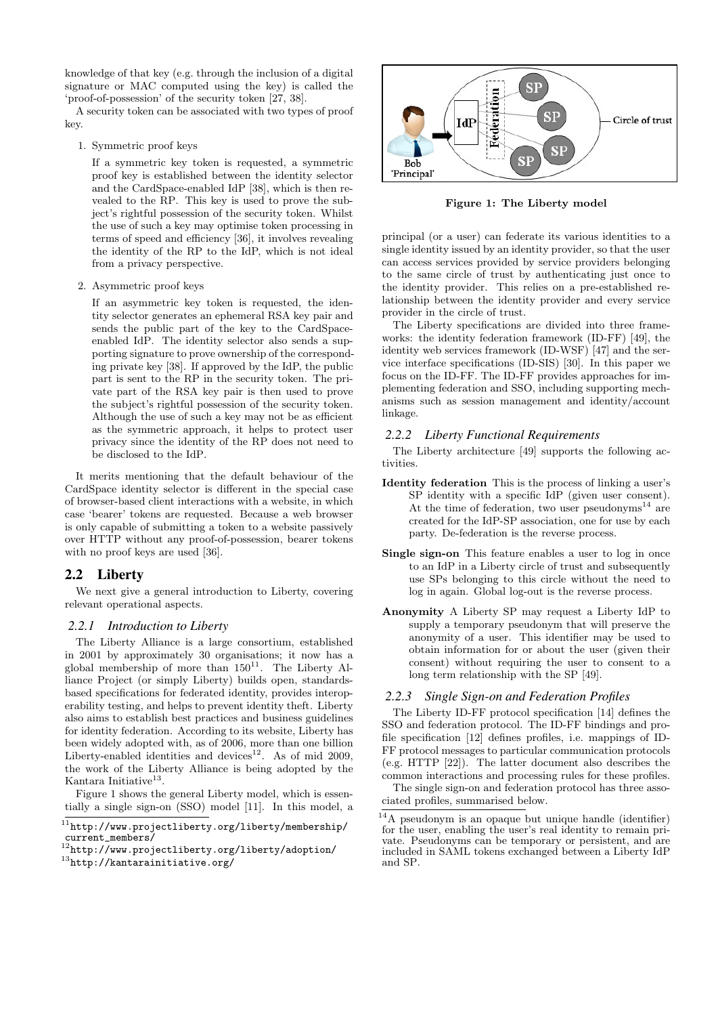knowledge of that key (e.g. through the inclusion of a digital signature or MAC computed using the key) is called the 'proof-of-possession' of the security token [27, 38].

A security token can be associated with two types of proof key.

1. Symmetric proof keys

If a symmetric key token is requested, a symmetric proof key is established between the identity selector and the CardSpace-enabled IdP [38], which is then revealed to the RP. This key is used to prove the subject's rightful possession of the security token. Whilst the use of such a key may optimise token processing in terms of speed and efficiency [36], it involves revealing the identity of the RP to the IdP, which is not ideal from a privacy perspective.

2. Asymmetric proof keys

If an asymmetric key token is requested, the identity selector generates an ephemeral RSA key pair and sends the public part of the key to the CardSpaceenabled IdP. The identity selector also sends a supporting signature to prove ownership of the corresponding private key [38]. If approved by the IdP, the public part is sent to the RP in the security token. The private part of the RSA key pair is then used to prove the subject's rightful possession of the security token. Although the use of such a key may not be as efficient as the symmetric approach, it helps to protect user privacy since the identity of the RP does not need to be disclosed to the IdP.

It merits mentioning that the default behaviour of the CardSpace identity selector is different in the special case of browser-based client interactions with a website, in which case 'bearer' tokens are requested. Because a web browser is only capable of submitting a token to a website passively over HTTP without any proof-of-possession, bearer tokens with no proof keys are used [36].

# 2.2 Liberty

We next give a general introduction to Liberty, covering relevant operational aspects.

#### *2.2.1 Introduction to Liberty*

The Liberty Alliance is a large consortium, established in 2001 by approximately 30 organisations; it now has a global membership of more than  $150^{11}$ . The Liberty Alliance Project (or simply Liberty) builds open, standardsbased specifications for federated identity, provides interoperability testing, and helps to prevent identity theft. Liberty also aims to establish best practices and business guidelines for identity federation. According to its website, Liberty has been widely adopted with, as of 2006, more than one billion Liberty-enabled identities and devices<sup>12</sup>. As of mid 2009, the work of the Liberty Alliance is being adopted by the Kantara Initiative<sup>13</sup>.

Figure 1 shows the general Liberty model, which is essentially a single sign-on (SSO) model [11]. In this model, a



Figure 1: The Liberty model

principal (or a user) can federate its various identities to a single identity issued by an identity provider, so that the user can access services provided by service providers belonging to the same circle of trust by authenticating just once to the identity provider. This relies on a pre-established relationship between the identity provider and every service provider in the circle of trust.

The Liberty specifications are divided into three frameworks: the identity federation framework (ID-FF) [49], the identity web services framework (ID-WSF) [47] and the service interface specifications (ID-SIS) [30]. In this paper we focus on the ID-FF. The ID-FF provides approaches for implementing federation and SSO, including supporting mechanisms such as session management and identity/account linkage.

## *2.2.2 Liberty Functional Requirements*

The Liberty architecture [49] supports the following activities.

- Identity federation This is the process of linking a user's SP identity with a specific IdP (given user consent). At the time of federation, two user pseudonyms<sup>14</sup> are created for the IdP-SP association, one for use by each party. De-federation is the reverse process.
- Single sign-on This feature enables a user to log in once to an IdP in a Liberty circle of trust and subsequently use SPs belonging to this circle without the need to log in again. Global log-out is the reverse process.
- Anonymity A Liberty SP may request a Liberty IdP to supply a temporary pseudonym that will preserve the anonymity of a user. This identifier may be used to obtain information for or about the user (given their consent) without requiring the user to consent to a long term relationship with the SP [49].

#### *2.2.3 Single Sign-on and Federation Profiles*

The Liberty ID-FF protocol specification [14] defines the SSO and federation protocol. The ID-FF bindings and profile specification [12] defines profiles, i.e. mappings of ID-FF protocol messages to particular communication protocols (e.g. HTTP [22]). The latter document also describes the common interactions and processing rules for these profiles.

The single sign-on and federation protocol has three associated profiles, summarised below.

 $^{11}$ http://www.projectliberty.org/liberty/membership/ current\_members/

 $^{12}$ http://www.projectliberty.org/liberty/adoption/

<sup>13</sup>http://kantarainitiative.org/

<sup>&</sup>lt;sup>14</sup>A pseudonym is an opaque but unique handle (identifier) for the user, enabling the user's real identity to remain private. Pseudonyms can be temporary or persistent, and are included in SAML tokens exchanged between a Liberty IdP and SP.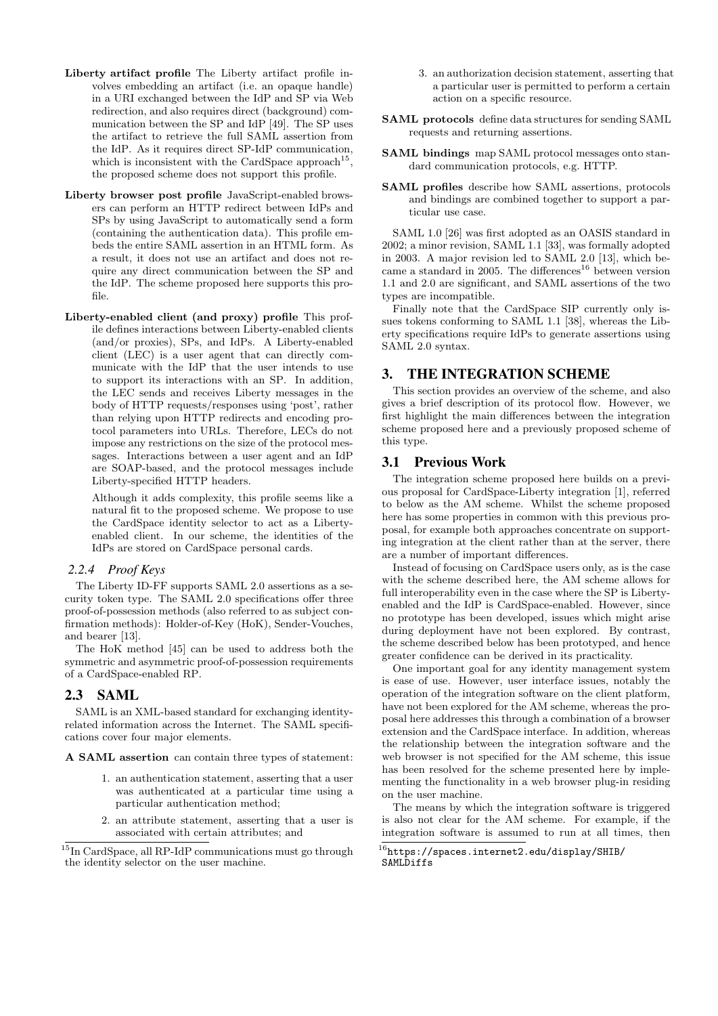- Liberty artifact profile The Liberty artifact profile involves embedding an artifact (i.e. an opaque handle) in a URI exchanged between the IdP and SP via Web redirection, and also requires direct (background) communication between the SP and IdP [49]. The SP uses the artifact to retrieve the full SAML assertion from the IdP. As it requires direct SP-IdP communication, which is inconsistent with the CardSpace approach<sup>15</sup>, the proposed scheme does not support this profile.
- Liberty browser post profile JavaScript-enabled browsers can perform an HTTP redirect between IdPs and SPs by using JavaScript to automatically send a form (containing the authentication data). This profile embeds the entire SAML assertion in an HTML form. As a result, it does not use an artifact and does not require any direct communication between the SP and the IdP. The scheme proposed here supports this profile.
- Liberty-enabled client (and proxy) profile This profile defines interactions between Liberty-enabled clients (and/or proxies), SPs, and IdPs. A Liberty-enabled client (LEC) is a user agent that can directly communicate with the IdP that the user intends to use to support its interactions with an SP. In addition, the LEC sends and receives Liberty messages in the body of HTTP requests/responses using 'post', rather than relying upon HTTP redirects and encoding protocol parameters into URLs. Therefore, LECs do not impose any restrictions on the size of the protocol messages. Interactions between a user agent and an IdP are SOAP-based, and the protocol messages include Liberty-specified HTTP headers.

Although it adds complexity, this profile seems like a natural fit to the proposed scheme. We propose to use the CardSpace identity selector to act as a Libertyenabled client. In our scheme, the identities of the IdPs are stored on CardSpace personal cards.

#### *2.2.4 Proof Keys*

The Liberty ID-FF supports SAML 2.0 assertions as a security token type. The SAML 2.0 specifications offer three proof-of-possession methods (also referred to as subject confirmation methods): Holder-of-Key (HoK), Sender-Vouches, and bearer [13].

The HoK method [45] can be used to address both the symmetric and asymmetric proof-of-possession requirements of a CardSpace-enabled RP.

# 2.3 SAML

SAML is an XML-based standard for exchanging identityrelated information across the Internet. The SAML specifications cover four major elements.

A SAML assertion can contain three types of statement:

- 1. an authentication statement, asserting that a user was authenticated at a particular time using a particular authentication method;
- 2. an attribute statement, asserting that a user is associated with certain attributes; and
- 3. an authorization decision statement, asserting that a particular user is permitted to perform a certain action on a specific resource.
- SAML protocols define data structures for sending SAML requests and returning assertions.
- SAML bindings map SAML protocol messages onto standard communication protocols, e.g. HTTP.
- SAML profiles describe how SAML assertions, protocols and bindings are combined together to support a particular use case.

SAML 1.0 [26] was first adopted as an OASIS standard in 2002; a minor revision, SAML 1.1 [33], was formally adopted in 2003. A major revision led to SAML 2.0 [13], which became a standard in 2005. The differences<sup>16</sup> between version 1.1 and 2.0 are significant, and SAML assertions of the two types are incompatible.

Finally note that the CardSpace SIP currently only issues tokens conforming to SAML 1.1 [38], whereas the Liberty specifications require IdPs to generate assertions using SAML 2.0 syntax.

# 3. THE INTEGRATION SCHEME

This section provides an overview of the scheme, and also gives a brief description of its protocol flow. However, we first highlight the main differences between the integration scheme proposed here and a previously proposed scheme of this type.

## 3.1 Previous Work

The integration scheme proposed here builds on a previous proposal for CardSpace-Liberty integration [1], referred to below as the AM scheme. Whilst the scheme proposed here has some properties in common with this previous proposal, for example both approaches concentrate on supporting integration at the client rather than at the server, there are a number of important differences.

Instead of focusing on CardSpace users only, as is the case with the scheme described here, the AM scheme allows for full interoperability even in the case where the SP is Libertyenabled and the IdP is CardSpace-enabled. However, since no prototype has been developed, issues which might arise during deployment have not been explored. By contrast, the scheme described below has been prototyped, and hence greater confidence can be derived in its practicality.

One important goal for any identity management system is ease of use. However, user interface issues, notably the operation of the integration software on the client platform, have not been explored for the AM scheme, whereas the proposal here addresses this through a combination of a browser extension and the CardSpace interface. In addition, whereas the relationship between the integration software and the web browser is not specified for the AM scheme, this issue has been resolved for the scheme presented here by implementing the functionality in a web browser plug-in residing on the user machine.

The means by which the integration software is triggered is also not clear for the AM scheme. For example, if the integration software is assumed to run at all times, then

 $^{15}$ In CardSpace, all RP-IdP communications must go through the identity selector on the user machine.

 $^{16}\mathrm{https://spaces.internet2.edu/display/SHIB/}$ SAMLDiffs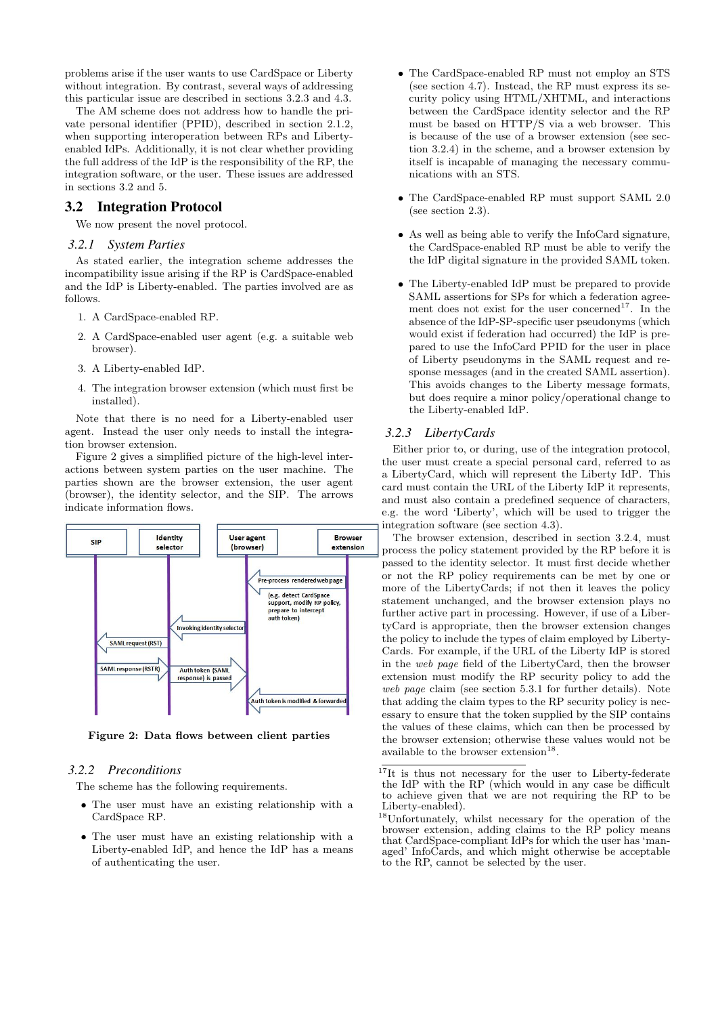problems arise if the user wants to use CardSpace or Liberty without integration. By contrast, several ways of addressing this particular issue are described in sections 3.2.3 and 4.3.

The AM scheme does not address how to handle the private personal identifier (PPID), described in section 2.1.2, when supporting interoperation between RPs and Libertyenabled IdPs. Additionally, it is not clear whether providing the full address of the IdP is the responsibility of the RP, the integration software, or the user. These issues are addressed in sections 3.2 and 5.

## 3.2 Integration Protocol

We now present the novel protocol.

# *3.2.1 System Parties*

As stated earlier, the integration scheme addresses the incompatibility issue arising if the RP is CardSpace-enabled and the IdP is Liberty-enabled. The parties involved are as follows.

- 1. A CardSpace-enabled RP.
- 2. A CardSpace-enabled user agent (e.g. a suitable web browser).
- 3. A Liberty-enabled IdP.
- 4. The integration browser extension (which must first be installed).

Note that there is no need for a Liberty-enabled user agent. Instead the user only needs to install the integration browser extension.

Figure 2 gives a simplified picture of the high-level interactions between system parties on the user machine. The parties shown are the browser extension, the user agent (browser), the identity selector, and the SIP. The arrows indicate information flows.



Figure 2: Data flows between client parties

# *3.2.2 Preconditions*

The scheme has the following requirements.

- The user must have an existing relationship with a CardSpace RP.
- The user must have an existing relationship with a Liberty-enabled IdP, and hence the IdP has a means of authenticating the user.
- The CardSpace-enabled RP must not employ an STS (see section 4.7). Instead, the RP must express its security policy using HTML/XHTML, and interactions between the CardSpace identity selector and the RP must be based on HTTP/S via a web browser. This is because of the use of a browser extension (see section 3.2.4) in the scheme, and a browser extension by itself is incapable of managing the necessary communications with an STS.
- The CardSpace-enabled RP must support SAML 2.0 (see section 2.3).
- As well as being able to verify the InfoCard signature, the CardSpace-enabled RP must be able to verify the the IdP digital signature in the provided SAML token.
- The Liberty-enabled IdP must be prepared to provide SAML assertions for SPs for which a federation agreement does not exist for the user concerned<sup>17</sup>. In the absence of the IdP-SP-specific user pseudonyms (which would exist if federation had occurred) the IdP is prepared to use the InfoCard PPID for the user in place of Liberty pseudonyms in the SAML request and response messages (and in the created SAML assertion). This avoids changes to the Liberty message formats, but does require a minor policy/operational change to the Liberty-enabled IdP.

#### *3.2.3 LibertyCards*

Either prior to, or during, use of the integration protocol, the user must create a special personal card, referred to as a LibertyCard, which will represent the Liberty IdP. This card must contain the URL of the Liberty IdP it represents, and must also contain a predefined sequence of characters, e.g. the word 'Liberty', which will be used to trigger the integration software (see section 4.3).

The browser extension, described in section 3.2.4, must process the policy statement provided by the RP before it is passed to the identity selector. It must first decide whether or not the RP policy requirements can be met by one or more of the LibertyCards; if not then it leaves the policy statement unchanged, and the browser extension plays no further active part in processing. However, if use of a LibertyCard is appropriate, then the browser extension changes the policy to include the types of claim employed by Liberty-Cards. For example, if the URL of the Liberty IdP is stored in the web page field of the LibertyCard, then the browser extension must modify the RP security policy to add the web page claim (see section 5.3.1 for further details). Note that adding the claim types to the RP security policy is necessary to ensure that the token supplied by the SIP contains the values of these claims, which can then be processed by the browser extension; otherwise these values would not be available to the browser extension<sup>18</sup> .

 $17\overline{1}t$  is thus not necessary for the user to Liberty-federate the IdP with the RP (which would in any case be difficult to achieve given that we are not requiring the RP to be Liberty-enabled).

<sup>18</sup>Unfortunately, whilst necessary for the operation of the browser extension, adding claims to the RP policy means that CardSpace-compliant IdPs for which the user has 'managed' InfoCards, and which might otherwise be acceptable to the RP, cannot be selected by the user.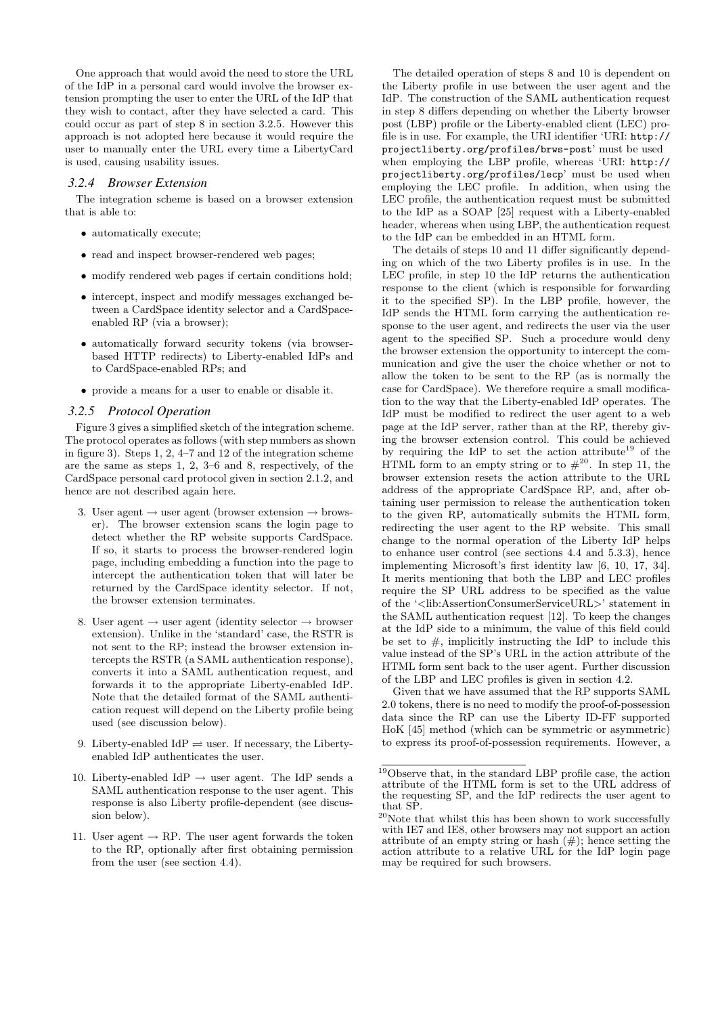One approach that would avoid the need to store the URL of the IdP in a personal card would involve the browser extension prompting the user to enter the URL of the IdP that they wish to contact, after they have selected a card. This could occur as part of step 8 in section 3.2.5. However this approach is not adopted here because it would require the user to manually enter the URL every time a LibertyCard is used, causing usability issues.

#### *3.2.4 Browser Extension*

The integration scheme is based on a browser extension that is able to:

- automatically execute;
- read and inspect browser-rendered web pages;
- modify rendered web pages if certain conditions hold;
- intercept, inspect and modify messages exchanged between a CardSpace identity selector and a CardSpaceenabled RP (via a browser);
- automatically forward security tokens (via browserbased HTTP redirects) to Liberty-enabled IdPs and to CardSpace-enabled RPs; and
- provide a means for a user to enable or disable it.

#### *3.2.5 Protocol Operation*

Figure 3 gives a simplified sketch of the integration scheme. The protocol operates as follows (with step numbers as shown in figure 3). Steps 1, 2, 4–7 and 12 of the integration scheme are the same as steps 1, 2, 3–6 and 8, respectively, of the CardSpace personal card protocol given in section 2.1.2, and hence are not described again here.

- 3. User agent  $\rightarrow$  user agent (browser extension  $\rightarrow$  browser). The browser extension scans the login page to detect whether the RP website supports CardSpace. If so, it starts to process the browser-rendered login page, including embedding a function into the page to intercept the authentication token that will later be returned by the CardSpace identity selector. If not, the browser extension terminates.
- 8. User agent  $\rightarrow$  user agent (identity selector  $\rightarrow$  browser extension). Unlike in the 'standard' case, the RSTR is not sent to the RP; instead the browser extension intercepts the RSTR (a SAML authentication response), converts it into a SAML authentication request, and forwards it to the appropriate Liberty-enabled IdP. Note that the detailed format of the SAML authentication request will depend on the Liberty profile being used (see discussion below).
- 9. Liberty-enabled  $IdP \rightleftharpoons$  user. If necessary, the Libertyenabled IdP authenticates the user.
- 10. Liberty-enabled IdP  $\rightarrow$  user agent. The IdP sends a SAML authentication response to the user agent. This response is also Liberty profile-dependent (see discussion below).
- 11. User agent  $\rightarrow$  RP. The user agent forwards the token to the RP, optionally after first obtaining permission from the user (see section 4.4).

The detailed operation of steps 8 and 10 is dependent on the Liberty profile in use between the user agent and the IdP. The construction of the SAML authentication request in step 8 differs depending on whether the Liberty browser post (LBP) profile or the Liberty-enabled client (LEC) profile is in use. For example, the URI identifier 'URI: http:// projectliberty.org/profiles/brws-post' must be used when employing the LBP profile, whereas 'URI: http:// projectliberty.org/profiles/lecp' must be used when employing the LEC profile. In addition, when using the LEC profile, the authentication request must be submitted to the IdP as a SOAP [25] request with a Liberty-enabled header, whereas when using LBP, the authentication request to the IdP can be embedded in an HTML form.

The details of steps 10 and 11 differ significantly depending on which of the two Liberty profiles is in use. In the LEC profile, in step 10 the IdP returns the authentication response to the client (which is responsible for forwarding it to the specified SP). In the LBP profile, however, the IdP sends the HTML form carrying the authentication response to the user agent, and redirects the user via the user agent to the specified SP. Such a procedure would deny the browser extension the opportunity to intercept the communication and give the user the choice whether or not to allow the token to be sent to the RP (as is normally the case for CardSpace). We therefore require a small modification to the way that the Liberty-enabled IdP operates. The IdP must be modified to redirect the user agent to a web page at the IdP server, rather than at the RP, thereby giving the browser extension control. This could be achieved by requiring the IdP to set the action attribute<sup>19</sup> of the HTML form to an empty string or to  $\#^{20}$ . In step 11, the browser extension resets the action attribute to the URL address of the appropriate CardSpace RP, and, after obtaining user permission to release the authentication token to the given RP, automatically submits the HTML form, redirecting the user agent to the RP website. This small change to the normal operation of the Liberty IdP helps to enhance user control (see sections 4.4 and 5.3.3), hence implementing Microsoft's first identity law [6, 10, 17, 34]. It merits mentioning that both the LBP and LEC profiles require the SP URL address to be specified as the value of the '<lib:AssertionConsumerServiceURL>' statement in the SAML authentication request [12]. To keep the changes at the IdP side to a minimum, the value of this field could be set to  $#$ , implicitly instructing the IdP to include this value instead of the SP's URL in the action attribute of the HTML form sent back to the user agent. Further discussion of the LBP and LEC profiles is given in section 4.2.

Given that we have assumed that the RP supports SAML 2.0 tokens, there is no need to modify the proof-of-possession data since the RP can use the Liberty ID-FF supported HoK [45] method (which can be symmetric or asymmetric) to express its proof-of-possession requirements. However, a

 $19$ Observe that, in the standard LBP profile case, the action attribute of the HTML form is set to the URL address of the requesting SP, and the IdP redirects the user agent to that SP.

 $^{20}\rm{Note}$  that whilst this has been shown to work successfully with IE7 and IE8, other browsers may not support an action attribute of an empty string or hash  $(\#)$ ; hence setting the action attribute to a relative URL for the IdP login page may be required for such browsers.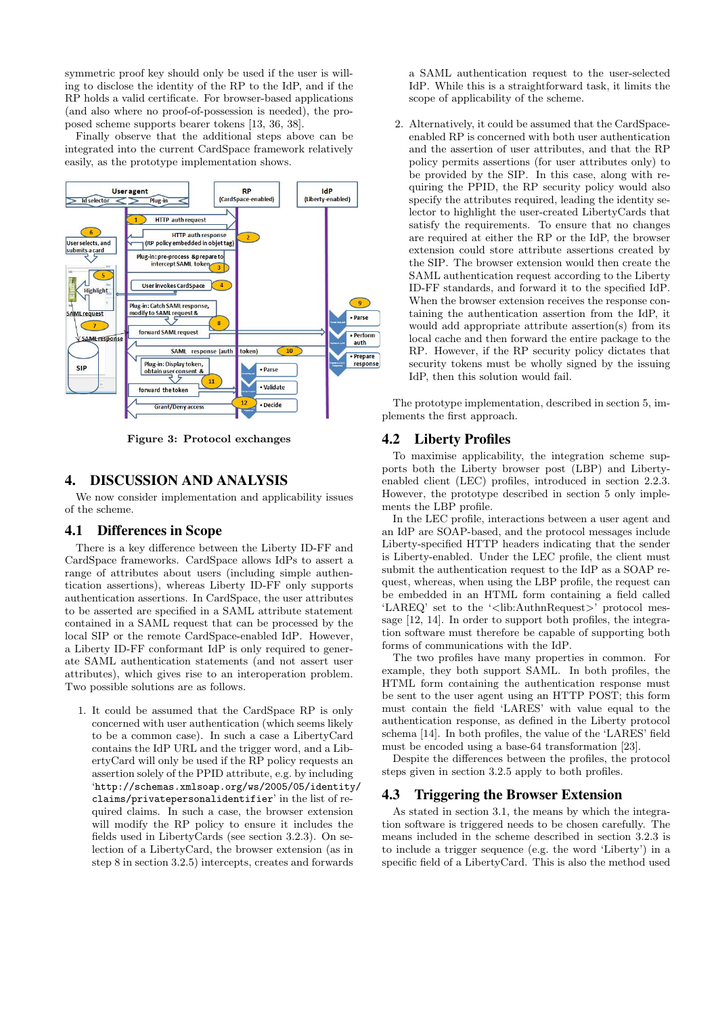symmetric proof key should only be used if the user is willing to disclose the identity of the RP to the IdP, and if the RP holds a valid certificate. For browser-based applications (and also where no proof-of-possession is needed), the proposed scheme supports bearer tokens [13, 36, 38].

Finally observe that the additional steps above can be integrated into the current CardSpace framework relatively easily, as the prototype implementation shows.



Figure 3: Protocol exchanges

# 4. DISCUSSION AND ANALYSIS

We now consider implementation and applicability issues of the scheme.

# 4.1 Differences in Scope

There is a key difference between the Liberty ID-FF and CardSpace frameworks. CardSpace allows IdPs to assert a range of attributes about users (including simple authentication assertions), whereas Liberty ID-FF only supports authentication assertions. In CardSpace, the user attributes to be asserted are specified in a SAML attribute statement contained in a SAML request that can be processed by the local SIP or the remote CardSpace-enabled IdP. However, a Liberty ID-FF conformant IdP is only required to generate SAML authentication statements (and not assert user attributes), which gives rise to an interoperation problem. Two possible solutions are as follows.

1. It could be assumed that the CardSpace RP is only concerned with user authentication (which seems likely to be a common case). In such a case a LibertyCard contains the IdP URL and the trigger word, and a LibertyCard will only be used if the RP policy requests an assertion solely of the PPID attribute, e.g. by including 'http://schemas.xmlsoap.org/ws/2005/05/identity/ claims/privatepersonalidentifier' in the list of required claims. In such a case, the browser extension will modify the RP policy to ensure it includes the fields used in LibertyCards (see section 3.2.3). On selection of a LibertyCard, the browser extension (as in step 8 in section 3.2.5) intercepts, creates and forwards

a SAML authentication request to the user-selected IdP. While this is a straightforward task, it limits the scope of applicability of the scheme.

2. Alternatively, it could be assumed that the CardSpaceenabled RP is concerned with both user authentication and the assertion of user attributes, and that the RP policy permits assertions (for user attributes only) to be provided by the SIP. In this case, along with requiring the PPID, the RP security policy would also specify the attributes required, leading the identity selector to highlight the user-created LibertyCards that satisfy the requirements. To ensure that no changes are required at either the RP or the IdP, the browser extension could store attribute assertions created by the SIP. The browser extension would then create the SAML authentication request according to the Liberty ID-FF standards, and forward it to the specified IdP. When the browser extension receives the response containing the authentication assertion from the IdP, it would add appropriate attribute assertion(s) from its local cache and then forward the entire package to the RP. However, if the RP security policy dictates that security tokens must be wholly signed by the issuing IdP, then this solution would fail.

The prototype implementation, described in section 5, implements the first approach.

# 4.2 Liberty Profiles

To maximise applicability, the integration scheme supports both the Liberty browser post (LBP) and Libertyenabled client (LEC) profiles, introduced in section 2.2.3. However, the prototype described in section 5 only implements the LBP profile.

In the LEC profile, interactions between a user agent and an IdP are SOAP-based, and the protocol messages include Liberty-specified HTTP headers indicating that the sender is Liberty-enabled. Under the LEC profile, the client must submit the authentication request to the IdP as a SOAP request, whereas, when using the LBP profile, the request can be embedded in an HTML form containing a field called 'LAREQ' set to the '<lib:AuthnRequest>' protocol message [12, 14]. In order to support both profiles, the integration software must therefore be capable of supporting both forms of communications with the IdP.

The two profiles have many properties in common. For example, they both support SAML. In both profiles, the HTML form containing the authentication response must be sent to the user agent using an HTTP POST; this form must contain the field 'LARES' with value equal to the authentication response, as defined in the Liberty protocol schema [14]. In both profiles, the value of the 'LARES' field must be encoded using a base-64 transformation [23].

Despite the differences between the profiles, the protocol steps given in section 3.2.5 apply to both profiles.

# 4.3 Triggering the Browser Extension

As stated in section 3.1, the means by which the integration software is triggered needs to be chosen carefully. The means included in the scheme described in section 3.2.3 is to include a trigger sequence (e.g. the word 'Liberty') in a specific field of a LibertyCard. This is also the method used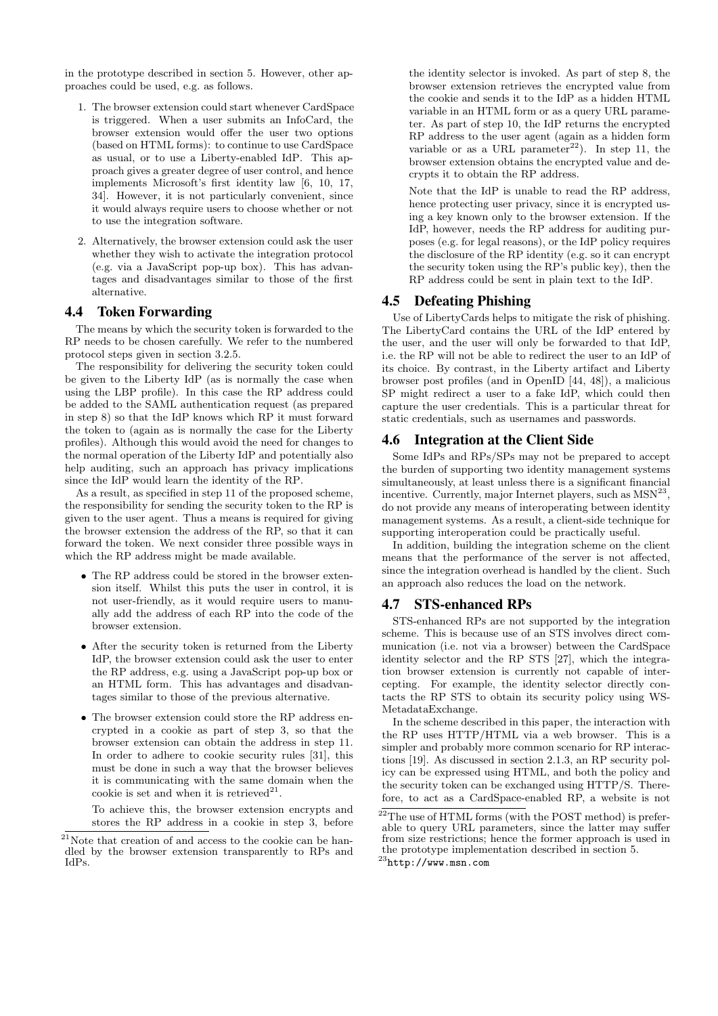in the prototype described in section 5. However, other approaches could be used, e.g. as follows.

- 1. The browser extension could start whenever CardSpace is triggered. When a user submits an InfoCard, the browser extension would offer the user two options (based on HTML forms): to continue to use CardSpace as usual, or to use a Liberty-enabled IdP. This approach gives a greater degree of user control, and hence implements Microsoft's first identity law [6, 10, 17, 34]. However, it is not particularly convenient, since it would always require users to choose whether or not to use the integration software.
- 2. Alternatively, the browser extension could ask the user whether they wish to activate the integration protocol (e.g. via a JavaScript pop-up box). This has advantages and disadvantages similar to those of the first alternative.

# 4.4 Token Forwarding

The means by which the security token is forwarded to the RP needs to be chosen carefully. We refer to the numbered protocol steps given in section 3.2.5.

The responsibility for delivering the security token could be given to the Liberty IdP (as is normally the case when using the LBP profile). In this case the RP address could be added to the SAML authentication request (as prepared in step 8) so that the IdP knows which RP it must forward the token to (again as is normally the case for the Liberty profiles). Although this would avoid the need for changes to the normal operation of the Liberty IdP and potentially also help auditing, such an approach has privacy implications since the IdP would learn the identity of the RP.

As a result, as specified in step 11 of the proposed scheme, the responsibility for sending the security token to the RP is given to the user agent. Thus a means is required for giving the browser extension the address of the RP, so that it can forward the token. We next consider three possible ways in which the RP address might be made available.

- The RP address could be stored in the browser extension itself. Whilst this puts the user in control, it is not user-friendly, as it would require users to manually add the address of each RP into the code of the browser extension.
- After the security token is returned from the Liberty IdP, the browser extension could ask the user to enter the RP address, e.g. using a JavaScript pop-up box or an HTML form. This has advantages and disadvantages similar to those of the previous alternative.
- The browser extension could store the RP address encrypted in a cookie as part of step 3, so that the browser extension can obtain the address in step 11. In order to adhere to cookie security rules [31], this must be done in such a way that the browser believes it is communicating with the same domain when the cookie is set and when it is retrieved<sup>21</sup>.

To achieve this, the browser extension encrypts and stores the RP address in a cookie in step 3, before the identity selector is invoked. As part of step 8, the browser extension retrieves the encrypted value from the cookie and sends it to the IdP as a hidden HTML variable in an HTML form or as a query URL parameter. As part of step 10, the IdP returns the encrypted RP address to the user agent (again as a hidden form variable or as a URL parameter<sup>22</sup>). In step 11, the browser extension obtains the encrypted value and decrypts it to obtain the RP address.

Note that the IdP is unable to read the RP address, hence protecting user privacy, since it is encrypted using a key known only to the browser extension. If the IdP, however, needs the RP address for auditing purposes (e.g. for legal reasons), or the IdP policy requires the disclosure of the RP identity (e.g. so it can encrypt the security token using the RP's public key), then the RP address could be sent in plain text to the IdP.

# 4.5 Defeating Phishing

Use of LibertyCards helps to mitigate the risk of phishing. The LibertyCard contains the URL of the IdP entered by the user, and the user will only be forwarded to that IdP, i.e. the RP will not be able to redirect the user to an IdP of its choice. By contrast, in the Liberty artifact and Liberty browser post profiles (and in OpenID [44, 48]), a malicious SP might redirect a user to a fake IdP, which could then capture the user credentials. This is a particular threat for static credentials, such as usernames and passwords.

# 4.6 Integration at the Client Side

Some IdPs and RPs/SPs may not be prepared to accept the burden of supporting two identity management systems simultaneously, at least unless there is a significant financial incentive. Currently, major Internet players, such as  $MSN^{23}$ , do not provide any means of interoperating between identity management systems. As a result, a client-side technique for supporting interoperation could be practically useful.

In addition, building the integration scheme on the client means that the performance of the server is not affected, since the integration overhead is handled by the client. Such an approach also reduces the load on the network.

## 4.7 STS-enhanced RPs

STS-enhanced RPs are not supported by the integration scheme. This is because use of an STS involves direct communication (i.e. not via a browser) between the CardSpace identity selector and the RP STS [27], which the integration browser extension is currently not capable of intercepting. For example, the identity selector directly contacts the RP STS to obtain its security policy using WS-MetadataExchange.

In the scheme described in this paper, the interaction with the RP uses HTTP/HTML via a web browser. This is a simpler and probably more common scenario for RP interactions [19]. As discussed in section 2.1.3, an RP security policy can be expressed using HTML, and both the policy and the security token can be exchanged using HTTP/S. Therefore, to act as a CardSpace-enabled RP, a website is not

 $21$ Note that creation of and access to the cookie can be handled by the browser extension transparently to RPs and IdPs.

 $22$ The use of HTML forms (with the POST method) is preferable to query URL parameters, since the latter may suffer from size restrictions; hence the former approach is used in the prototype implementation described in section 5.  $^{23}$ http://www.msn.com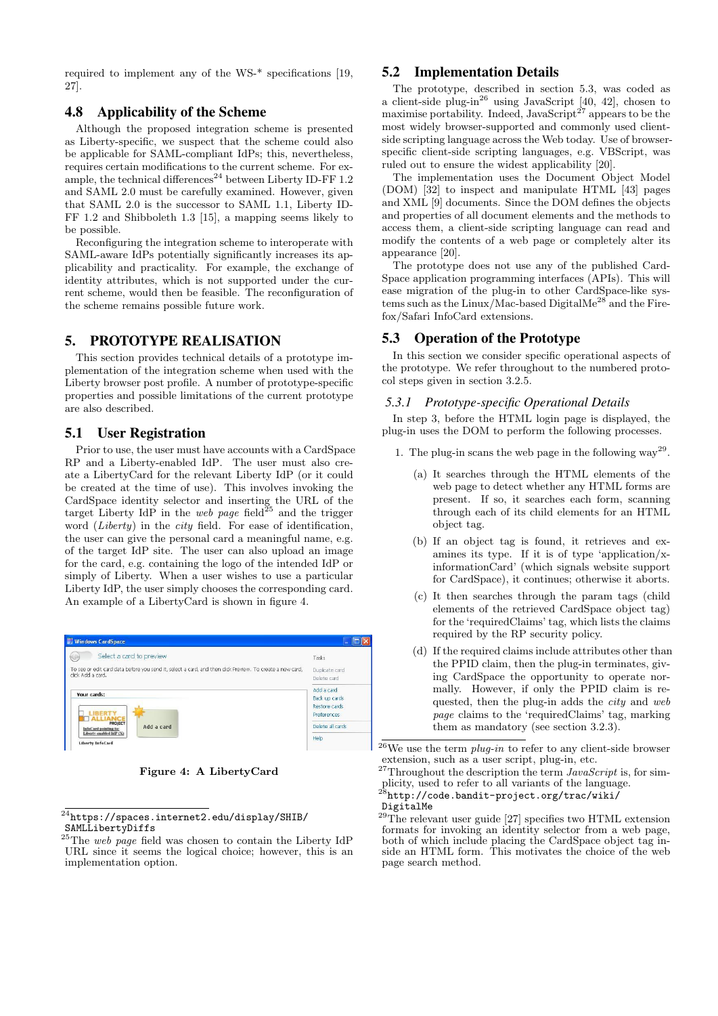required to implement any of the WS-\* specifications [19, 27].

# 4.8 Applicability of the Scheme

Although the proposed integration scheme is presented as Liberty-specific, we suspect that the scheme could also be applicable for SAML-compliant IdPs; this, nevertheless, requires certain modifications to the current scheme. For example, the technical differences<sup>24</sup> between Liberty ID-FF 1.2 and SAML 2.0 must be carefully examined. However, given that SAML 2.0 is the successor to SAML 1.1, Liberty ID-FF 1.2 and Shibboleth 1.3 [15], a mapping seems likely to be possible.

Reconfiguring the integration scheme to interoperate with SAML-aware IdPs potentially significantly increases its applicability and practicality. For example, the exchange of identity attributes, which is not supported under the current scheme, would then be feasible. The reconfiguration of the scheme remains possible future work.

# 5. PROTOTYPE REALISATION

This section provides technical details of a prototype implementation of the integration scheme when used with the Liberty browser post profile. A number of prototype-specific properties and possible limitations of the current prototype are also described.

# 5.1 User Registration

Prior to use, the user must have accounts with a CardSpace RP and a Liberty-enabled IdP. The user must also create a LibertyCard for the relevant Liberty IdP (or it could be created at the time of use). This involves invoking the CardSpace identity selector and inserting the URL of the target Liberty IdP in the web page field<sup>25</sup> and the trigger word (*Liberty*) in the *city* field. For ease of identification, the user can give the personal card a meaningful name, e.g. of the target IdP site. The user can also upload an image for the card, e.g. containing the logo of the intended IdP or simply of Liberty. When a user wishes to use a particular Liberty IdP, the user simply chooses the corresponding card. An example of a LibertyCard is shown in figure 4.



Figure 4: A LibertyCard

<sup>24</sup>https://spaces.internet2.edu/display/SHIB/ SAMLLibertyDiffs

# 5.2 Implementation Details

The prototype, described in section 5.3, was coded as a client-side plug-in<sup>26</sup> using JavaScript  $[40, 42]$ , chosen to maximise portability. Indeed, JavaScript<sup>27</sup> appears to be the most widely browser-supported and commonly used clientside scripting language across the Web today. Use of browserspecific client-side scripting languages, e.g. VBScript, was ruled out to ensure the widest applicability [20].

The implementation uses the Document Object Model (DOM) [32] to inspect and manipulate HTML [43] pages and XML [9] documents. Since the DOM defines the objects and properties of all document elements and the methods to access them, a client-side scripting language can read and modify the contents of a web page or completely alter its appearance [20].

The prototype does not use any of the published Card-Space application programming interfaces (APIs). This will ease migration of the plug-in to other CardSpace-like systems such as the Linux/Mac-based DigitalMe<sup>28</sup> and the Firefox/Safari InfoCard extensions.

# 5.3 Operation of the Prototype

In this section we consider specific operational aspects of the prototype. We refer throughout to the numbered protocol steps given in section 3.2.5.

## *5.3.1 Prototype-specific Operational Details*

In step 3, before the HTML login page is displayed, the plug-in uses the DOM to perform the following processes.

- 1. The plug-in scans the web page in the following way<sup>29</sup>.
	- (a) It searches through the HTML elements of the web page to detect whether any HTML forms are present. If so, it searches each form, scanning through each of its child elements for an HTML object tag.
	- (b) If an object tag is found, it retrieves and examines its type. If it is of type 'application/xinformationCard' (which signals website support for CardSpace), it continues; otherwise it aborts.
	- (c) It then searches through the param tags (child elements of the retrieved CardSpace object tag) for the 'requiredClaims' tag, which lists the claims required by the RP security policy.
	- (d) If the required claims include attributes other than the PPID claim, then the plug-in terminates, giving CardSpace the opportunity to operate normally. However, if only the PPID claim is requested, then the plug-in adds the *city* and web page claims to the 'requiredClaims' tag, marking them as mandatory (see section 3.2.3).

 $^{25}$ The *web page* field was chosen to contain the Liberty IdP URL since it seems the logical choice; however, this is an implementation option.

 $^{26}$ We use the term *plug-in* to refer to any client-side browser extension, such as a user script, plug-in, etc.

 $^{27}$ Throughout the description the term  $JavaScript$  is, for simplicity, used to refer to all variants of the language.

<sup>28</sup>http://code.bandit-project.org/trac/wiki/

DigitalMe

<sup>29</sup>The relevant user guide [27] specifies two HTML extension formats for invoking an identity selector from a web page, both of which include placing the CardSpace object tag inside an HTML form. This motivates the choice of the web page search method.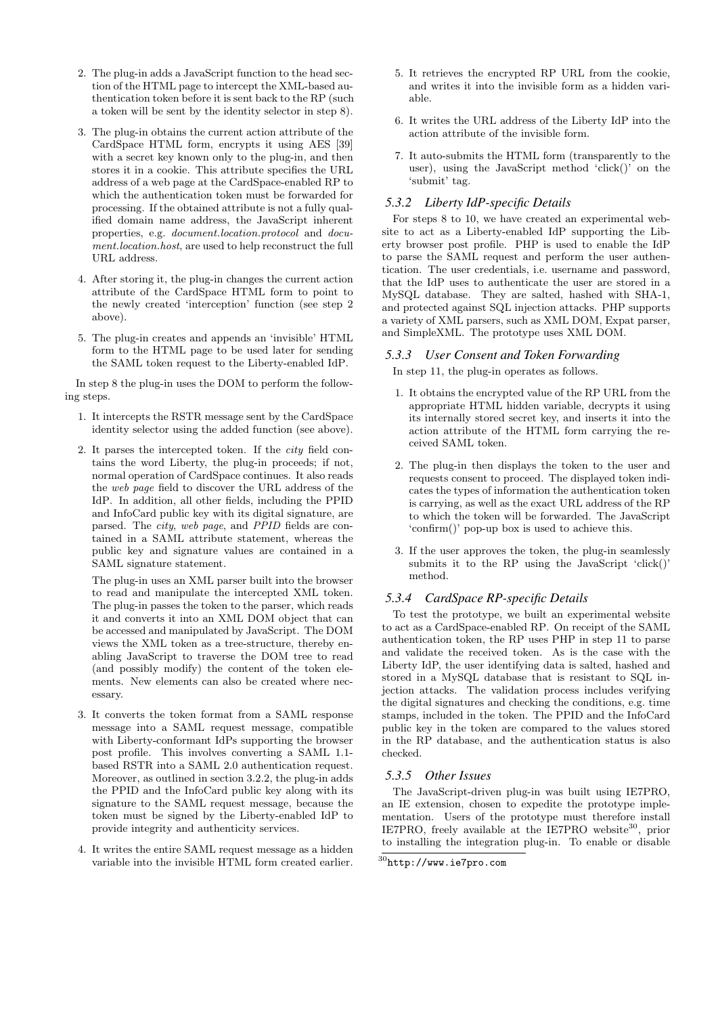- 2. The plug-in adds a JavaScript function to the head section of the HTML page to intercept the XML-based authentication token before it is sent back to the RP (such a token will be sent by the identity selector in step 8).
- 3. The plug-in obtains the current action attribute of the CardSpace HTML form, encrypts it using AES [39] with a secret key known only to the plug-in, and then stores it in a cookie. This attribute specifies the URL address of a web page at the CardSpace-enabled RP to which the authentication token must be forwarded for processing. If the obtained attribute is not a fully qualified domain name address, the JavaScript inherent properties, e.g. document.location.protocol and document.location.host, are used to help reconstruct the full URL address.
- 4. After storing it, the plug-in changes the current action attribute of the CardSpace HTML form to point to the newly created 'interception' function (see step 2 above).
- 5. The plug-in creates and appends an 'invisible' HTML form to the HTML page to be used later for sending the SAML token request to the Liberty-enabled IdP.

In step 8 the plug-in uses the DOM to perform the following steps.

- 1. It intercepts the RSTR message sent by the CardSpace identity selector using the added function (see above).
- 2. It parses the intercepted token. If the city field contains the word Liberty, the plug-in proceeds; if not, normal operation of CardSpace continues. It also reads the web page field to discover the URL address of the IdP. In addition, all other fields, including the PPID and InfoCard public key with its digital signature, are parsed. The city, web page, and PPID fields are contained in a SAML attribute statement, whereas the public key and signature values are contained in a SAML signature statement.

The plug-in uses an XML parser built into the browser to read and manipulate the intercepted XML token. The plug-in passes the token to the parser, which reads it and converts it into an XML DOM object that can be accessed and manipulated by JavaScript. The DOM views the XML token as a tree-structure, thereby enabling JavaScript to traverse the DOM tree to read (and possibly modify) the content of the token elements. New elements can also be created where necessary.

- 3. It converts the token format from a SAML response message into a SAML request message, compatible with Liberty-conformant IdPs supporting the browser post profile. This involves converting a SAML 1.1 based RSTR into a SAML 2.0 authentication request. Moreover, as outlined in section 3.2.2, the plug-in adds the PPID and the InfoCard public key along with its signature to the SAML request message, because the token must be signed by the Liberty-enabled IdP to provide integrity and authenticity services.
- 4. It writes the entire SAML request message as a hidden variable into the invisible HTML form created earlier.
- 5. It retrieves the encrypted RP URL from the cookie, and writes it into the invisible form as a hidden variable.
- 6. It writes the URL address of the Liberty IdP into the action attribute of the invisible form.
- 7. It auto-submits the HTML form (transparently to the user), using the JavaScript method 'click()' on the 'submit' tag.

# *5.3.2 Liberty IdP-specific Details*

For steps 8 to 10, we have created an experimental website to act as a Liberty-enabled IdP supporting the Liberty browser post profile. PHP is used to enable the IdP to parse the SAML request and perform the user authentication. The user credentials, i.e. username and password, that the IdP uses to authenticate the user are stored in a MySQL database. They are salted, hashed with SHA-1, and protected against SQL injection attacks. PHP supports a variety of XML parsers, such as XML DOM, Expat parser, and SimpleXML. The prototype uses XML DOM.

## *5.3.3 User Consent and Token Forwarding*

In step 11, the plug-in operates as follows.

- 1. It obtains the encrypted value of the RP URL from the appropriate HTML hidden variable, decrypts it using its internally stored secret key, and inserts it into the action attribute of the HTML form carrying the received SAML token.
- 2. The plug-in then displays the token to the user and requests consent to proceed. The displayed token indicates the types of information the authentication token is carrying, as well as the exact URL address of the RP to which the token will be forwarded. The JavaScript 'confirm()' pop-up box is used to achieve this.
- 3. If the user approves the token, the plug-in seamlessly submits it to the RP using the JavaScript 'click()' method.

## *5.3.4 CardSpace RP-specific Details*

To test the prototype, we built an experimental website to act as a CardSpace-enabled RP. On receipt of the SAML authentication token, the RP uses PHP in step 11 to parse and validate the received token. As is the case with the Liberty IdP, the user identifying data is salted, hashed and stored in a MySQL database that is resistant to SQL injection attacks. The validation process includes verifying the digital signatures and checking the conditions, e.g. time stamps, included in the token. The PPID and the InfoCard public key in the token are compared to the values stored in the RP database, and the authentication status is also checked.

## *5.3.5 Other Issues*

The JavaScript-driven plug-in was built using IE7PRO, an IE extension, chosen to expedite the prototype implementation. Users of the prototype must therefore install IE7PRO, freely available at the IE7PRO website<sup>30</sup>, prior to installing the integration plug-in. To enable or disable

 $^{30}\mathrm{http://www.ie7pro.com}$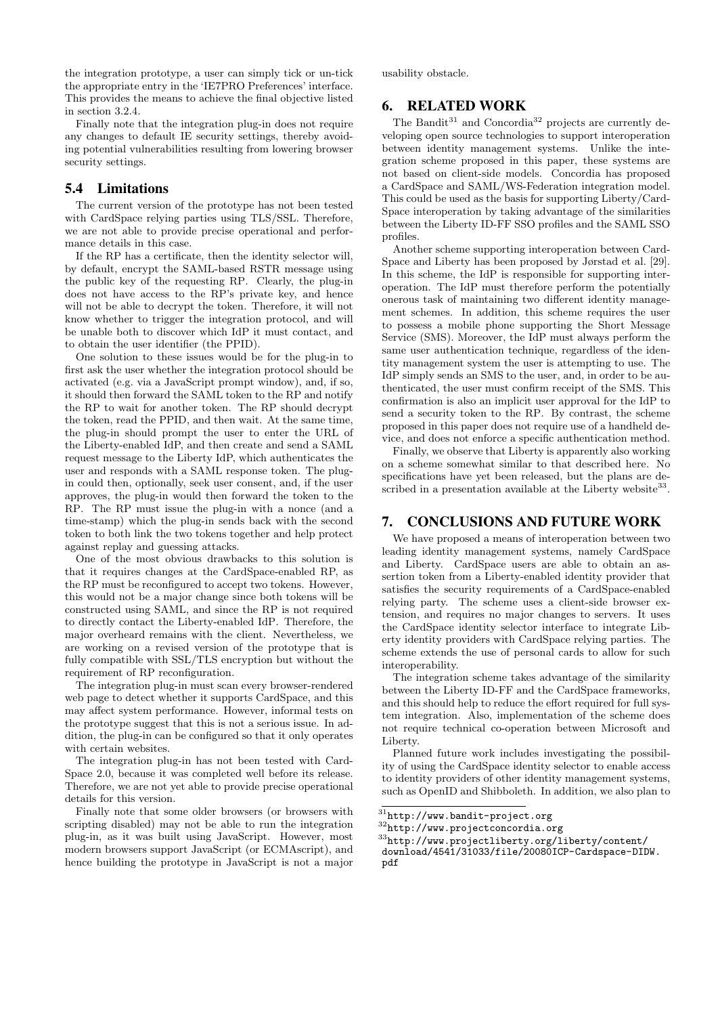the integration prototype, a user can simply tick or un-tick the appropriate entry in the 'IE7PRO Preferences' interface. This provides the means to achieve the final objective listed in section 3.2.4.

Finally note that the integration plug-in does not require any changes to default IE security settings, thereby avoiding potential vulnerabilities resulting from lowering browser security settings.

## 5.4 Limitations

The current version of the prototype has not been tested with CardSpace relying parties using TLS/SSL. Therefore, we are not able to provide precise operational and performance details in this case.

If the RP has a certificate, then the identity selector will, by default, encrypt the SAML-based RSTR message using the public key of the requesting RP. Clearly, the plug-in does not have access to the RP's private key, and hence will not be able to decrypt the token. Therefore, it will not know whether to trigger the integration protocol, and will be unable both to discover which IdP it must contact, and to obtain the user identifier (the PPID).

One solution to these issues would be for the plug-in to first ask the user whether the integration protocol should be activated (e.g. via a JavaScript prompt window), and, if so, it should then forward the SAML token to the RP and notify the RP to wait for another token. The RP should decrypt the token, read the PPID, and then wait. At the same time, the plug-in should prompt the user to enter the URL of the Liberty-enabled IdP, and then create and send a SAML request message to the Liberty IdP, which authenticates the user and responds with a SAML response token. The plugin could then, optionally, seek user consent, and, if the user approves, the plug-in would then forward the token to the RP. The RP must issue the plug-in with a nonce (and a time-stamp) which the plug-in sends back with the second token to both link the two tokens together and help protect against replay and guessing attacks.

One of the most obvious drawbacks to this solution is that it requires changes at the CardSpace-enabled RP, as the RP must be reconfigured to accept two tokens. However, this would not be a major change since both tokens will be constructed using SAML, and since the RP is not required to directly contact the Liberty-enabled IdP. Therefore, the major overheard remains with the client. Nevertheless, we are working on a revised version of the prototype that is fully compatible with SSL/TLS encryption but without the requirement of RP reconfiguration.

The integration plug-in must scan every browser-rendered web page to detect whether it supports CardSpace, and this may affect system performance. However, informal tests on the prototype suggest that this is not a serious issue. In addition, the plug-in can be configured so that it only operates with certain websites.

The integration plug-in has not been tested with Card-Space 2.0, because it was completed well before its release. Therefore, we are not yet able to provide precise operational details for this version.

Finally note that some older browsers (or browsers with scripting disabled) may not be able to run the integration plug-in, as it was built using JavaScript. However, most modern browsers support JavaScript (or ECMAscript), and hence building the prototype in JavaScript is not a major usability obstacle.

# 6. RELATED WORK

The Bandit<sup>31</sup> and Concordia<sup>32</sup> projects are currently developing open source technologies to support interoperation between identity management systems. Unlike the integration scheme proposed in this paper, these systems are not based on client-side models. Concordia has proposed a CardSpace and SAML/WS-Federation integration model. This could be used as the basis for supporting Liberty/Card-Space interoperation by taking advantage of the similarities between the Liberty ID-FF SSO profiles and the SAML SSO profiles.

Another scheme supporting interoperation between Card-Space and Liberty has been proposed by Jørstad et al. [29]. In this scheme, the IdP is responsible for supporting interoperation. The IdP must therefore perform the potentially onerous task of maintaining two different identity management schemes. In addition, this scheme requires the user to possess a mobile phone supporting the Short Message Service (SMS). Moreover, the IdP must always perform the same user authentication technique, regardless of the identity management system the user is attempting to use. The IdP simply sends an SMS to the user, and, in order to be authenticated, the user must confirm receipt of the SMS. This confirmation is also an implicit user approval for the IdP to send a security token to the RP. By contrast, the scheme proposed in this paper does not require use of a handheld device, and does not enforce a specific authentication method.

Finally, we observe that Liberty is apparently also working on a scheme somewhat similar to that described here. No specifications have yet been released, but the plans are described in a presentation available at the Liberty website<sup>33</sup>.

# 7. CONCLUSIONS AND FUTURE WORK

We have proposed a means of interoperation between two leading identity management systems, namely CardSpace and Liberty. CardSpace users are able to obtain an assertion token from a Liberty-enabled identity provider that satisfies the security requirements of a CardSpace-enabled relying party. The scheme uses a client-side browser extension, and requires no major changes to servers. It uses the CardSpace identity selector interface to integrate Liberty identity providers with CardSpace relying parties. The scheme extends the use of personal cards to allow for such interoperability.

The integration scheme takes advantage of the similarity between the Liberty ID-FF and the CardSpace frameworks, and this should help to reduce the effort required for full system integration. Also, implementation of the scheme does not require technical co-operation between Microsoft and Liberty.

Planned future work includes investigating the possibility of using the CardSpace identity selector to enable access to identity providers of other identity management systems, such as OpenID and Shibboleth. In addition, we also plan to

<sup>33</sup>http://www.projectliberty.org/liberty/content/

 $31$ http://www.bandit-project.org

<sup>32</sup>http://www.projectconcordia.org

download/4541/31033/file/20080ICP-Cardspace-DIDW. pdf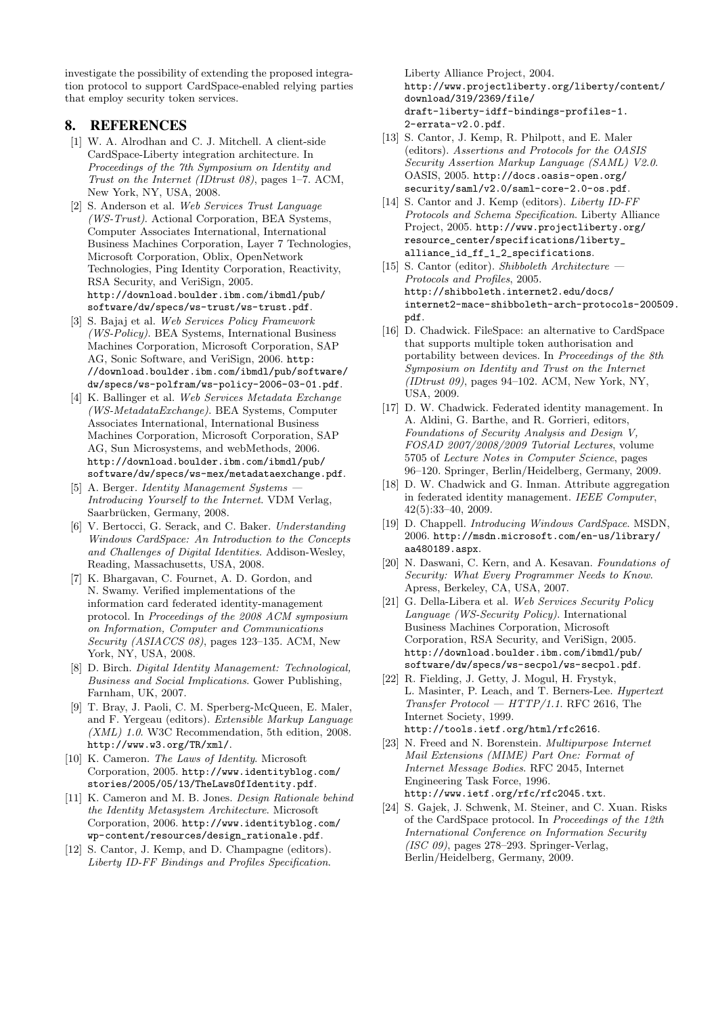investigate the possibility of extending the proposed integration protocol to support CardSpace-enabled relying parties that employ security token services.

# 8. REFERENCES

- [1] W. A. Alrodhan and C. J. Mitchell. A client-side CardSpace-Liberty integration architecture. In Proceedings of the 7th Symposium on Identity and Trust on the Internet (IDtrust 08), pages 1–7. ACM, New York, NY, USA, 2008.
- [2] S. Anderson et al. Web Services Trust Language (WS-Trust). Actional Corporation, BEA Systems, Computer Associates International, International Business Machines Corporation, Layer 7 Technologies, Microsoft Corporation, Oblix, OpenNetwork Technologies, Ping Identity Corporation, Reactivity, RSA Security, and VeriSign, 2005. http://download.boulder.ibm.com/ibmdl/pub/ software/dw/specs/ws-trust/ws-trust.pdf.
- [3] S. Bajaj et al. Web Services Policy Framework (WS-Policy). BEA Systems, International Business Machines Corporation, Microsoft Corporation, SAP AG, Sonic Software, and VeriSign, 2006. http: //download.boulder.ibm.com/ibmdl/pub/software/ dw/specs/ws-polfram/ws-policy-2006-03-01.pdf.
- [4] K. Ballinger et al. Web Services Metadata Exchange (WS-MetadataExchange). BEA Systems, Computer Associates International, International Business Machines Corporation, Microsoft Corporation, SAP AG, Sun Microsystems, and webMethods, 2006. http://download.boulder.ibm.com/ibmdl/pub/ software/dw/specs/ws-mex/metadataexchange.pdf.
- [5] A. Berger. *Identity Management Systems* Introducing Yourself to the Internet. VDM Verlag, Saarbrücken, Germany, 2008.
- [6] V. Bertocci, G. Serack, and C. Baker. Understanding Windows CardSpace: An Introduction to the Concepts and Challenges of Digital Identities. Addison-Wesley, Reading, Massachusetts, USA, 2008.
- [7] K. Bhargavan, C. Fournet, A. D. Gordon, and N. Swamy. Verified implementations of the information card federated identity-management protocol. In Proceedings of the 2008 ACM symposium on Information, Computer and Communications Security (ASIACCS 08), pages 123–135. ACM, New York, NY, USA, 2008.
- [8] D. Birch. Digital Identity Management: Technological, Business and Social Implications. Gower Publishing, Farnham, UK, 2007.
- [9] T. Bray, J. Paoli, C. M. Sperberg-McQueen, E. Maler, and F. Yergeau (editors). Extensible Markup Language (XML) 1.0. W3C Recommendation, 5th edition, 2008. http://www.w3.org/TR/xml/.
- [10] K. Cameron. The Laws of Identity. Microsoft Corporation, 2005. http://www.identityblog.com/ stories/2005/05/13/TheLawsOfIdentity.pdf.
- [11] K. Cameron and M. B. Jones. Design Rationale behind the Identity Metasystem Architecture. Microsoft Corporation, 2006. http://www.identityblog.com/ wp-content/resources/design\_rationale.pdf.
- [12] S. Cantor, J. Kemp, and D. Champagne (editors). Liberty ID-FF Bindings and Profiles Specification.

Liberty Alliance Project, 2004. http://www.projectliberty.org/liberty/content/ download/319/2369/file/ draft-liberty-idff-bindings-profiles-1. 2-errata-v2.0.pdf.

- [13] S. Cantor, J. Kemp, R. Philpott, and E. Maler (editors). Assertions and Protocols for the OASIS Security Assertion Markup Language (SAML) V2.0. OASIS, 2005. http://docs.oasis-open.org/ security/saml/v2.0/saml-core-2.0-os.pdf.
- [14] S. Cantor and J. Kemp (editors). Liberty ID-FF Protocols and Schema Specification. Liberty Alliance Project, 2005. http://www.projectliberty.org/ resource\_center/specifications/liberty\_ alliance\_id\_ff\_1\_2\_specifications.
- [15] S. Cantor (editor). Shibboleth Architecture Protocols and Profiles, 2005. http://shibboleth.internet2.edu/docs/ internet2-mace-shibboleth-arch-protocols-200509. pdf.
- [16] D. Chadwick. FileSpace: an alternative to CardSpace that supports multiple token authorisation and portability between devices. In Proceedings of the 8th Symposium on Identity and Trust on the Internet (IDtrust 09), pages 94–102. ACM, New York, NY, USA, 2009.
- [17] D. W. Chadwick. Federated identity management. In A. Aldini, G. Barthe, and R. Gorrieri, editors, Foundations of Security Analysis and Design V, FOSAD 2007/2008/2009 Tutorial Lectures, volume 5705 of Lecture Notes in Computer Science, pages 96–120. Springer, Berlin/Heidelberg, Germany, 2009.
- [18] D. W. Chadwick and G. Inman. Attribute aggregation in federated identity management. IEEE Computer, 42(5):33–40, 2009.
- [19] D. Chappell. Introducing Windows CardSpace. MSDN, 2006. http://msdn.microsoft.com/en-us/library/ aa480189.aspx.
- [20] N. Daswani, C. Kern, and A. Kesavan. Foundations of Security: What Every Programmer Needs to Know. Apress, Berkeley, CA, USA, 2007.
- [21] G. Della-Libera et al. Web Services Security Policy Language (WS-Security Policy). International Business Machines Corporation, Microsoft Corporation, RSA Security, and VeriSign, 2005. http://download.boulder.ibm.com/ibmdl/pub/ software/dw/specs/ws-secpol/ws-secpol.pdf.
- [22] R. Fielding, J. Getty, J. Mogul, H. Frystyk, L. Masinter, P. Leach, and T. Berners-Lee. Hypertext Transfer Protocol —  $HTTP/1.1$ . RFC 2616, The Internet Society, 1999. http://tools.ietf.org/html/rfc2616.
- [23] N. Freed and N. Borenstein. Multipurpose Internet Mail Extensions (MIME) Part One: Format of Internet Message Bodies. RFC 2045, Internet Engineering Task Force, 1996. http://www.ietf.org/rfc/rfc2045.txt.
- [24] S. Gajek, J. Schwenk, M. Steiner, and C. Xuan. Risks of the CardSpace protocol. In Proceedings of the 12th International Conference on Information Security (ISC 09), pages 278–293. Springer-Verlag, Berlin/Heidelberg, Germany, 2009.